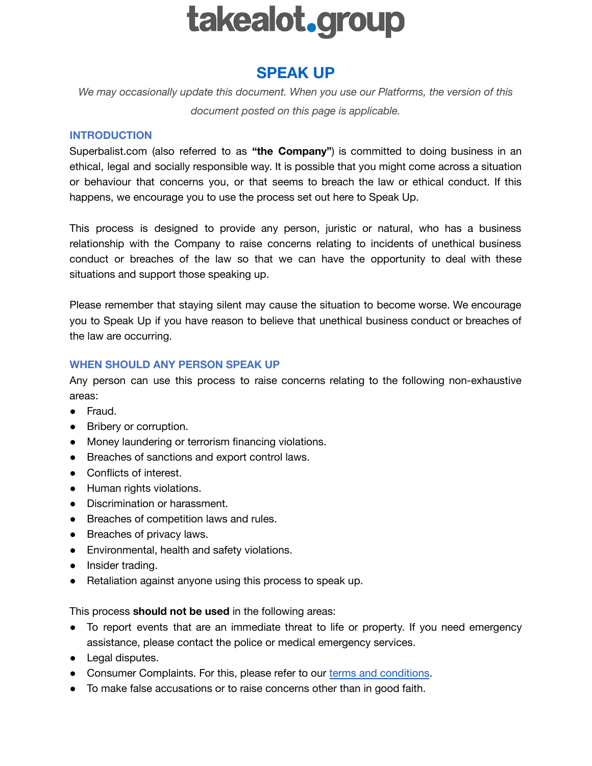# takealot.group

## **SPEAK UP**

*We may occasionally update this document. When you use our Platforms, the version of this document posted on this page is applicable.*

#### **INTRODUCTION**

Superbalist.com (also referred to as **"the Company"**) is committed to doing business in an ethical, legal and socially responsible way. It is possible that you might come across a situation or behaviour that concerns you, or that seems to breach the law or ethical conduct. If this happens, we encourage you to use the process set out here to Speak Up.

This process is designed to provide any person, juristic or natural, who has a business relationship with the Company to raise concerns relating to incidents of unethical business conduct or breaches of the law so that we can have the opportunity to deal with these situations and support those speaking up.

Please remember that staying silent may cause the situation to become worse. We encourage you to Speak Up if you have reason to believe that unethical business conduct or breaches of the law are occurring.

#### **WHEN SHOULD ANY PERSON SPEAK UP**

Any person can use this process to raise concerns relating to the following non-exhaustive areas:

- Fraud.
- Bribery or corruption.
- Money laundering or terrorism financing violations.
- Breaches of sanctions and export control laws.
- Conflicts of interest.
- Human rights violations.
- Discrimination or harassment.
- Breaches of competition laws and rules.
- Breaches of privacy laws.
- Environmental, health and safety violations.
- Insider trading.
- Retaliation against anyone using this process to speak up.

This process **should not be used** in the following areas:

- To report events that are an immediate threat to life or property. If you need emergency assistance, please contact the police or medical emergency services.
- Legal disputes.
- Consumer Complaints. For this, please refer to our terms and [conditions](https://superbalist.com/terms_and_conditions).
- To make false accusations or to raise concerns other than in good faith.